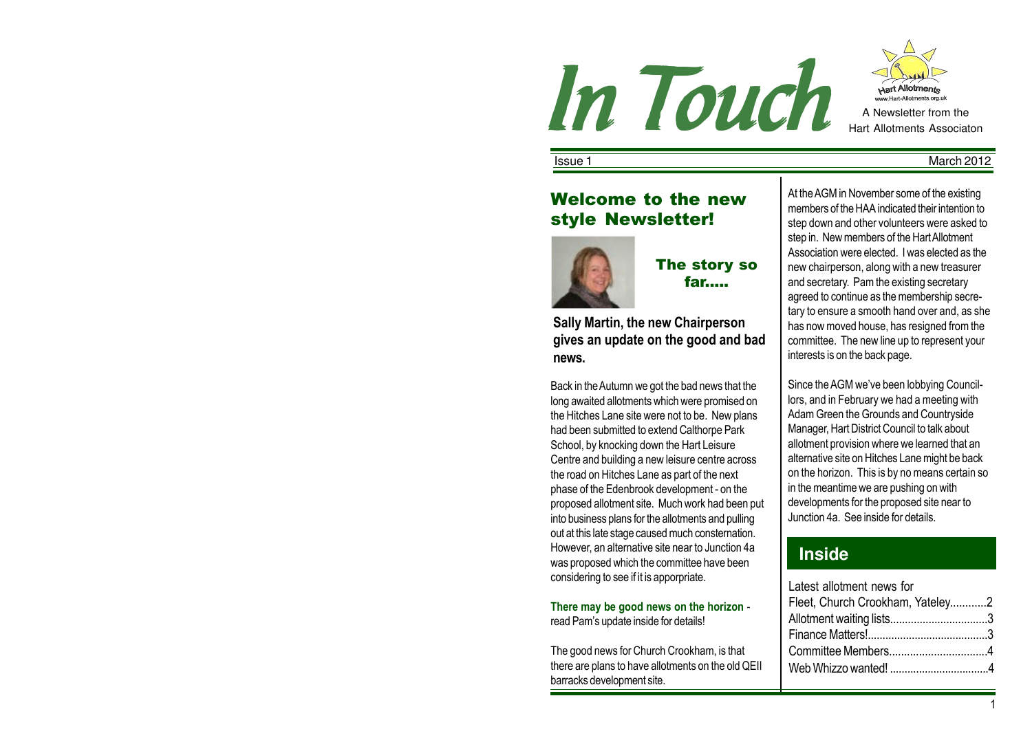



**Issue 1** March 2012

# Welcome to the new style Newsletter!



The story so far.....

Sally Martin, the new Chairperson gives an update on the good and bad news.

Back in the Autumn we got the bad news that the long awaited allotments which were promised on the Hitches Lane site were not to be. New plans had been submitted to extend Calthorpe Park School, by knocking down the Hart Leisure Centre and building a new leisure centre across the road on Hitches Lane as part of the next phase of the Edenbrook development - on the proposed allotment site. Much work had been put into business plans for the allotments and pulling out at this late stage caused much consternation. However, an alternative site near to Junction 4a was proposed which the committee have been considering to see if it is apporpriate.

There may be good news on the horizon read Pam's update inside for details!

The good news for Church Crookham, is that there are plans to have allotments on the old QEII barracks development site.

At the AGM in November some of the existing members of the HAA indicated their intention to step down and other volunteers were asked to step in. New members of the Hart Allotment Association were elected. I was elected as the new chairperson, along with a new treasurer and secretary. Pam the existing secretary agreed to continue as the membership secretary to ensure a smooth hand over and, as she has now moved house, has resigned from the committee. The new line up to represent your interests is on the back page.

Since the AGM we've been lobbying Councillors, and in February we had a meeting with Adam Green the Grounds and Countryside Manager, Hart District Council to talk about allotment provision where we learned that an alternative site on Hitches Lane might be back on the horizon. This is by no means certain so in the meantime we are pushing on with developments for the proposed site near to Junction 4a. See inside for details.

# **Inside**

| Latest allotment news for        |  |
|----------------------------------|--|
| Fleet, Church Crookham, Yateley2 |  |
| Allotment waiting lists3         |  |
|                                  |  |
| Committee Members4               |  |
| Web Whizzo wanted! 4             |  |
|                                  |  |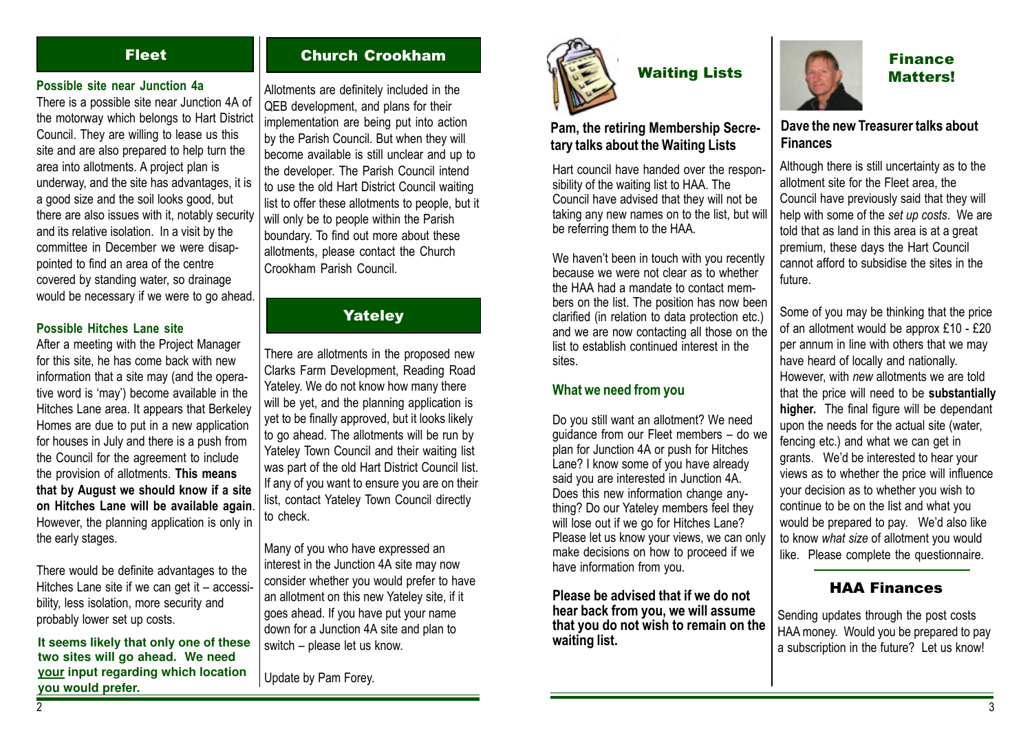### Possible site near Junction 4a

There is a possible site near Junction 4A of the motorway which belongs to Hart District Council. They are willing to lease us this site and are also prepared to help turn the area into allotments. A project plan is underway, and the site has advantages, it is a good size and the soil looks good, but there are also issues with it, notably security and its relative isolation. In a visit by the committee in December we were disappointed to find an area of the centre covered by standing water, so drainage would be necessary if we were to go ahead.

#### Possible Hitches Lane site

After a meeting with the Project Manager for this site, he has come back with new information that a site may (and the operative word is 'may') become available in the Hitches Lane area. It appears that Berkeley Homes are due to put in a new application for houses in July and there is a push from the Council for the agreement to include the provision of allotments. This means that by August we should know if a site on Hitches Lane will be available again. However, the planning application is only in the early stages.

There would be definite advantages to the Hitches Lane site if we can get it – accessibility, less isolation, more security and probably lower set up costs.

It seems likely that only one of these switch – please let us know.<br> **It seems likely that only one of these** switch – please let us know.<br> **It seems likely that only one of these** switch – please let us know. **your input regarding which location you would prefer.**

# Fleet Church Crookham

Allotments are definitely included in the QEB development, and plans for their implementation are being put into action by the Parish Council. But when they will become available is still unclear and up to the developer. The Parish Council intend to use the old Hart District Council waiting list to offer these allotments to people, but it will only be to people within the Parish boundary. To find out more about these allotments, please contact the Church Crookham Parish Council.

## Yateley

There are allotments in the proposed new Clarks Farm Development, Reading Road Yateley. We do not know how many there will be yet, and the planning application is yet to be finally approved, but it looks likely to go ahead. The allotments will be run by Yateley Town Council and their waiting list was part of the old Hart District Council list. If any of you want to ensure you are on their list, contact Yateley Town Council directly to check.

Many of you who have expressed an interest in the Junction 4A site may now consider whether you would prefer to have an allotment on this new Yateley site, if it goes ahead. If you have put your name down for a Junction 4A site and plan to switch – please let us know.

Update by Pam Forey.



# Waiting Lists

## Pam, the retiring Membership Secretary talks about the Waiting Lists

Hart council have handed over the responsibility of the waiting list to HAA. The Council have advised that they will not be taking any new names on to the list, but will be referring them to the HAA.

We haven't been in touch with you recently because we were not clear as to whether the HAA had a mandate to contact members on the list. The position has now been clarified (in relation to data protection etc.) and we are now contacting all those on the list to establish continued interest in the sites.

### What we need from you

Do you still want an allotment? We need guidance from our Fleet members – do we plan for Junction 4A or push for Hitches Lane? I know some of you have already said you are interested in Junction 4A. Does this new information change anything? Do our Yateley members feel they will lose out if we go for Hitches Lane? Please let us know your views, we can only make decisions on how to proceed if we have information from you.

Please be advised that if we do not hear back from you, we will assume that you do not wish to remain on the waiting list.



# Finance Matters!

## Dave the new Treasurer talks about Finances

Although there is still uncertainty as to the allotment site for the Fleet area, the Council have previously said that they will help with some of the set up costs. We are told that as land in this area is at a great premium, these days the Hart Council cannot afford to subsidise the sites in the future.

Some of you may be thinking that the price of an allotment would be approx £10 - £20 per annum in line with others that we may have heard of locally and nationally. However, with new allotments we are told that the price will need to be substantially higher. The final figure will be dependant upon the needs for the actual site (water, fencing etc.) and what we can get in grants. We'd be interested to hear your views as to whether the price will influence your decision as to whether you wish to continue to be on the list and what you would be prepared to pay. We'd also like to know what size of allotment you would like. Please complete the questionnaire.

## HAA Finances

Sending updates through the post costs HAA money. Would you be prepared to pay